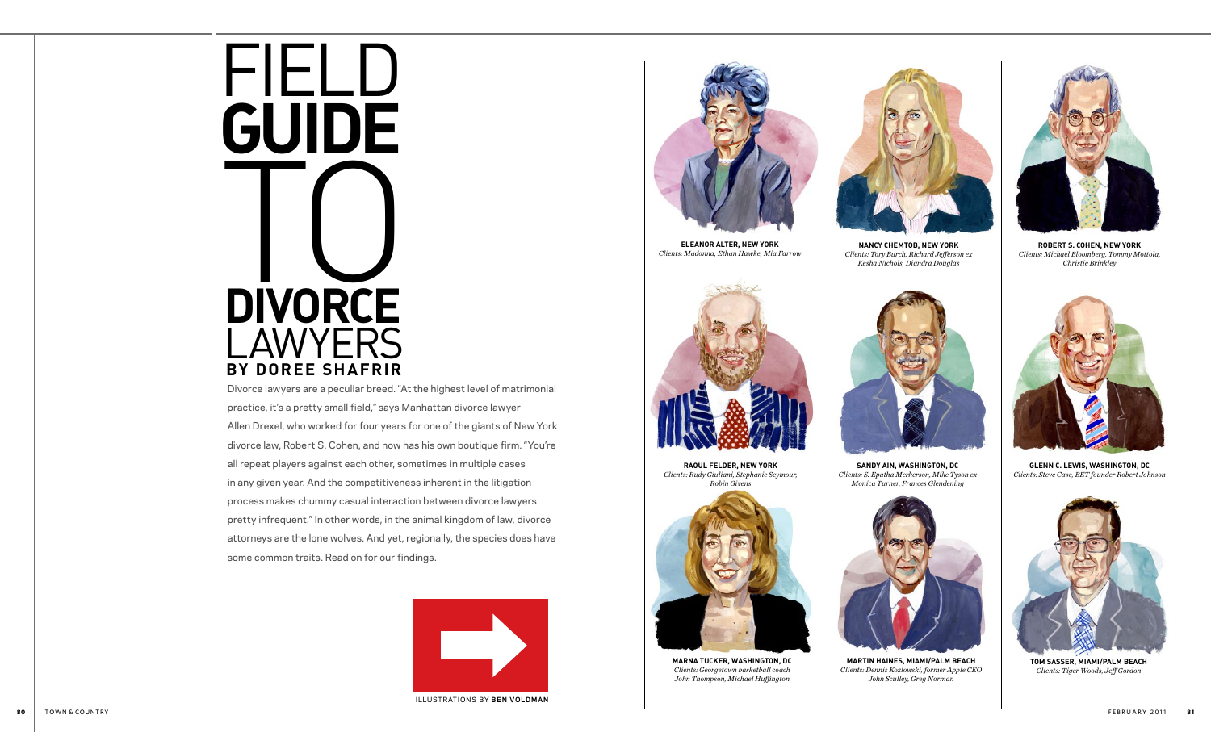

Divorce lawyers are a peculiar breed. "At the highest level of matrimonial practice, it's a pretty small field," says Manhattan divorce lawyer Allen Drexel, who worked for four years for one of the giants of New York divorce law, Robert S. Cohen, and now has his own boutique firm. "You're all repeat players against each other, sometimes in multiple cases in any given year. And the competitiveness inherent in the litigation process makes chummy casual interaction between divorce lawyers pretty infrequent." In other words, in the animal kingdom of law, divorce attorneys are the lone wolves. And yet, regionally, the species does have some common traits. Read on for our findings.

**raoul felder, new york** *Clients: Rudy Giuliani, Stephanie Seymour, Robin Givens*



**robert s. cohen, new york** *Clients: Michael Bloomberg, Tommy Mottola, Christie Brinkley*



**eleAnor alter, new york** *Clients: Madonna, Ethan Hawke, Mia Farrow*





**marna tucker, washington, dc** *Clients: Georgetown basketball coach John Thompson, Michael Huffington*



**nancy chemtob, new york** *Clients: Tory Burch, Richard Jefferson ex Kesha Nichols, Diandra Douglas*



illustrations by **ben voldman**



**martin haineS, miami/palm beach** *Clients: Dennis Kozlowski, former Apple CEO John Sculley, Greg Norman*



**tom sasser, miami/palm beach** *Clients: Tiger Woods, Jeff Gordon*



**sandy ain, washington, dc** *Clients: S. Epatha Merkerson, Mike Tyson ex Monica Turner, Frances Glendening*



**glenn c. lewis, washington, dc** *Clients: Steve Case, BET founder Robert Johnson*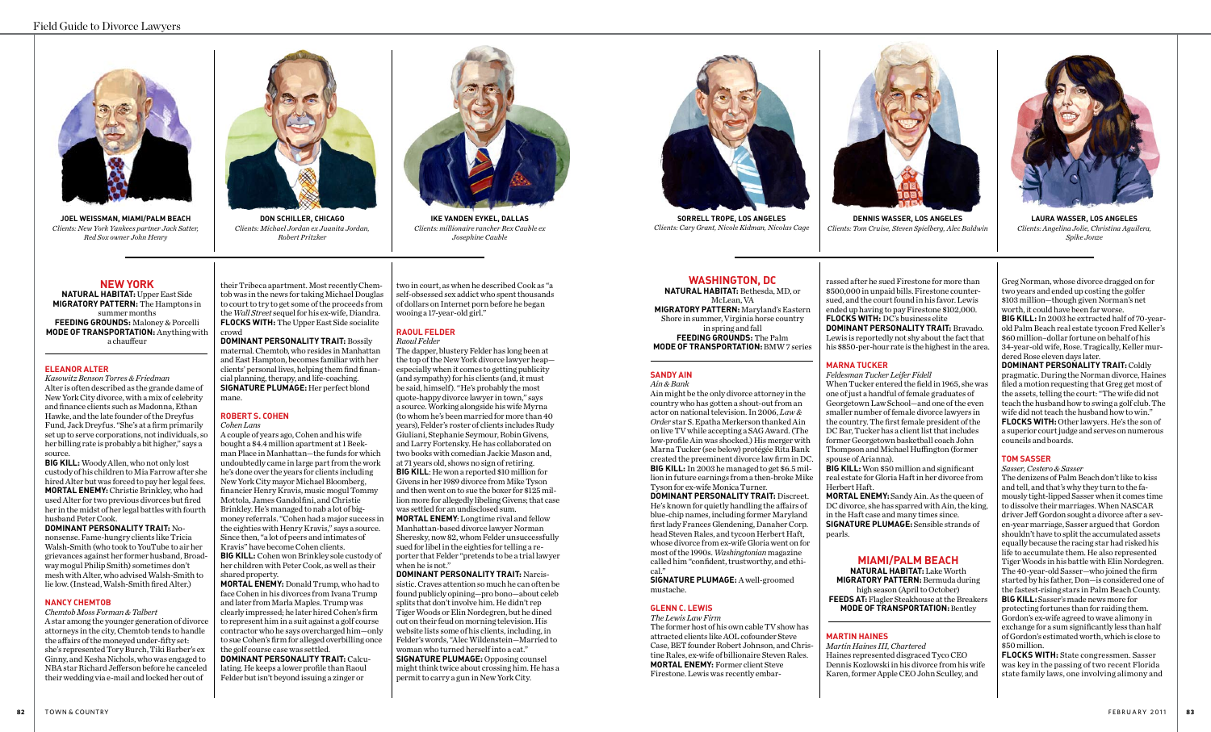

**ike vanden eykel, dallas** *Clients: millionaire rancher Rex Cauble ex Josephine Cauble*



#### **NEW YORK**

**NATURAL HABITAT:** Upper East Side **MIGRATORY PATTERN:** The Hamptons in summer months **FEEDING GROUNDS:** Maloney & Porcelli **MODE OF TRANSPORTATION:** Anything with a chauffeur

#### **ELEANOR ALTER**

*Kasowitz Benson Torres & Friedman*  Alter is often described as the grande dame of New York City divorce, with a mix of celebrity and finance clients such as Madonna, Ethan Hawke, and the late founder of the Dreyfus Fund, Jack Dreyfus. "She's at a firm primarily set up to serve corporations, not individuals, so her billing rate is probably a bit higher," says a source.

**BIG KILL:** Woody Allen, who not only lost custody of his children to Mia Farrow after she hired Alter but was forced to pay her legal fees. **MORTAL ENEMY:** Christie Brinkley, who had used Alter for two previous divorces but fired her in the midst of her legal battles with fourth husband Peter Cook.

**DOMINANT PERSONALITY TRAIT:** Nononsense. Fame-hungry clients like Tricia Walsh-Smith (who took to YouTube to air her grievances against her former husband, Broadway mogul Philip Smith) sometimes don't mesh with Alter, who advised Walsh-Smith to lie low. (Instead, Walsh-Smith fired Alter.)

#### **NANCY CHEMTOB**

#### *Chemtob Moss Forman & Talbert*

A star among the younger generation of divorce attorneys in the city, Chemtob tends to handle the affairs of the moneyed under-fifty set: she's represented Tory Burch, Tiki Barber's ex Ginny, and Kesha Nichols, who was engaged to NBA star Richard Jefferson before he canceled their wedding via e-mail and locked her out of

their Tribeca apartment. Most recently Chemtob was in the news for taking Michael Douglas to court to try to get some of the proceeds from the *Wall Street* sequel for his ex-wife, Diandra. **FLOCKS WITH:** The Upper East Side socialite crowd

**DOMINANT PERSONALITY TRAIT:** Bossily maternal. Chemtob, who resides in Manhattan and East Hampton, becomes familiar with her clients' personal lives, helping them find financial planning, therapy, and life-coaching. **SIGNATURE PLUMAGE:** Her perfect blond mane.

# **ROBERT S. COHEN**

*Cohen Lans* 

A couple of years ago, Cohen and his wife bought a \$4.4 million apartment at 1 Beekman Place in Manhattan—the funds for which undoubtedly came in large part from the work he's done over the years for clients including New York City mayor Michael Bloomberg, financier Henry Kravis, music mogul Tommy Mottola, James Gandolfini, and Christie Brinkley. He's managed to nab a lot of bigmoney referrals. "Cohen had a major success in the eighties with Henry Kravis," says a source. Since then, "a lot of peers and intimates of Kravis" have become Cohen clients. **BIG KILL:** Cohen won Brinkley sole custody of her children with Peter Cook, as well as their shared property.

**MORTAL ENEMY:** Donald Trump, who had to face Cohen in his divorces from Ivana Trump and later from Marla Maples. Trump was clearly impressed; he later hired Cohen's firm to represent him in a suit against a golf course contractor who he says overcharged him—only to sue Cohen's firm for alleged overbilling once the golf course case was settled.

**DOMINANT PERSONALITY TRAIT:** Calculating. He keeps a lower profile than Raoul Felder but isn't beyond issuing a zinger or

two in court, as when he described Cook as "a self-obsessed sex addict who spent thousands of dollars on Internet porn before he began wooing a 17-year-old girl."

# **RAOUL FELDER**

*Raoul Felder* The dapper, blustery Felder has long been at the top of the New York divorce lawyer heap especially when it comes to getting publicity (and sympathy) for his clients (and, it must be said, himself). "He's probably the most quote-happy divorce lawyer in town," says a source. Working alongside his wife Myrna (to whom he's been married for more than 40 years), Felder's roster of clients includes Rudy Giuliani, Stephanie Seymour, Robin Givens, and Larry Fortensky. He has collaborated on two books with comedian Jackie Mason and, at 71 years old, shows no sign of retiring. **BIG KILL**: He won a reported \$10 million for Givens in her 1989 divorce from Mike Tyson and then went on to sue the boxer for \$125 million more for allegedly libeling Givens; that case was settled for an undisclosed sum. **MORTAL ENEMY**: Longtime rival and fellow

Manhattan-based divorce lawyer Norman Sheresky, now 82, whom Felder unsuccessfully sued for libel in the eighties for telling a reporter that Felder "pretends to be a trial lawyer when he is not."

**DOMINANT PERSONALITY TRAIT:** Narcissistic. Craves attention so much he can often be found publicly opining—pro bono—about celeb splits that don't involve him. He didn't rep Tiger Woods or Elin Nordegren, but he dined out on their feud on morning television. His website lists some of his clients, including, in Felder's words, "Alec Wildenstein—Married to woman who turned herself into a cat." **SIGNATURE PLUMAGE:** Opposing counsel might think twice about crossing him. He has a permit to carry a gun in New York City.

# **WASHINGTON, DC**

**NATURAL HABITAT:** Bethesda, MD, or McLean, VA **MIGRATORY PATTERN:** Maryland's Eastern Shore in summer, Virginia horse country in spring and fall **FEEDING GROUNDS:** The Palm **MODE OF TRANSPORTATION:** BMW 7 series

#### **SANDY AIN**

*Ain & Bank* Ain might be the only divorce attorney in the country who has gotten a shout-out from an actor on national television. In 2006, *Law & Order* star S. Epatha Merkerson thanked Ain on live TV while accepting a SAG Award. (The low-profile Ain was shocked.) His merger with Marna Tucker (see below) protégée Rita Bank created the preeminent divorce law firm in DC.

# **BIG KILL:** In 2003 he managed to get \$6.5 million in future earnings from a then-broke Mike Tyson for ex-wife Monica Turner.

**DOMINANT PERSONALITY TRAIT:** Discreet. He's known for quietly handling the affairs of blue-chip names, including former Maryland first lady Frances Glendening, Danaher Corp. head Steven Rales, and tycoon Herbert Haft, whose divorce from ex-wife Gloria went on for most of the 1990s. *Washingtonian* magazine called him "confident, trustworthy, and ethical."

**SIGNATURE PLUMAGE:** A well-groomed mustache.

# **GLENN C. LEWIS**

*The Lewis Law Firm* The former host of his own cable TV show has attracted clients like AOL cofounder Steve Case, BET founder Robert Johnson, and Christine Rales, ex-wife of billionaire Steven Rales. **MORTAL ENEMY:** Former client Steve Firestone. Lewis was recently embar-

rassed after he sued Firestone for more than \$500,000 in unpaid bills. Firestone countersued, and the court found in his favor. Lewis ended up having to pay Firestone \$102,000. **FLOCKS WITH:** DC's business elite

**DOMINANT PERSONALITY TRAIT:** Bravado. Lewis is reportedly not shy about the fact that his \$850-per-hour rate is the highest in the area.

#### **MARNA TUCKER**

#### *Feldesman Tucker Leifer Fidell*

When Tucker entered the field in 1965, she was one of just a handful of female graduates of Georgetown Law School—and one of the even smaller number of female divorce lawyers in the country. The first female president of the DC Bar, Tucker has a client list that includes former Georgetown basketball coach John Thompson and Michael Huffington (former spouse of Arianna).

**BIG KILL:** Won \$50 million and significant real estate for Gloria Haft in her divorce from Herbert Haft.

**MORTAL ENEMY:** Sandy Ain. As the queen of DC divorce, she has sparred with Ain, the king, in the Haft case and many times since. **SIGNATURE PLUMAGE:** Sensible strands of pearls.

## **MIAMI/PALM BEACH**

**NATURAL HABITAT:** Lake Worth **MIGRATORY PATTERN:** Bermuda during high season (April to October) **FEEDS AT:** Flagler Steakhouse at the Breakers **MODE OF TRANSPORTATION:** Bentley

#### **MARTIN HAINES**

*Martin Haines III, Chartered* Haines represented disgraced Tyco CEO Dennis Kozlowski in his divorce from his wife Karen, former Apple CEO John Sculley, and

Greg Norman, whose divorce dragged on for two years and ended up costing the golfer \$103 million—though given Norman's net worth, it could have been far worse.

**BIG KILL:** In 2003 he extracted half of 70-yearold Palm Beach real estate tycoon Fred Keller's \$60 million–dollar fortune on behalf of his 34-year-old wife, Rose. Tragically, Keller murdered Rose eleven days later.

**DOMINANT PERSONALITY TRAIT:** Coldly pragmatic. During the Norman divorce, Haines filed a motion requesting that Greg get most of the assets, telling the court: "The wife did not teach the husband how to swing a golf club. The wife did not teach the husband how to win." **FLOCKS WITH:** Other lawyers. He's the son of a superior court judge and serves on numerous councils and boards.

#### **TOM SASSER**

#### *Sasser, Cestero & Sasser*

The denizens of Palm Beach don't like to kiss and tell, and that's why they turn to the famously tight-lipped Sasser when it comes time to dissolve their marriages. When NASCAR driver Jeff Gordon sought a divorce after a seven-year marriage, Sasser argued that Gordon shouldn't have to split the accumulated assets equally because the racing star had risked his life to accumulate them. He also represented Tiger Woods in his battle with Elin Nordegren. The 40-year-old Sasser—who joined the firm started by his father, Don—is considered one of the fastest-rising stars in Palm Beach County. **BlG KILL:** Sasser's made news more for protecting fortunes than for raiding them. Gordon's ex-wife agreed to wave alimony in exchange for a sum significantly less than half of Gordon's estimated worth, which is close to \$50 million.

**FLOCKS WITH:** State congressmen. Sasser was key in the passing of two recent Florida state family laws, one involving alimony and

**Joel Weissman, miami/palm beach** *Clients: New York Yankees partner Jack Satter, Red Sox owner John Henry*



**dennis wasser, los angeles** *Clients: Tom Cruise, Steven Spielberg, Alec Baldwin*



**don schiller, chicago** *Clients: Michael Jordan ex Juanita Jordan, Robert Pritzker*

**sorrell trope, los angeles** *Clients: Cary Grant, Nicole Kidman, Nicolas Cage*



**laura wasser, los angeles** *Clients: Angelina Jolie, Christina Aguilera, Spike Jonze*